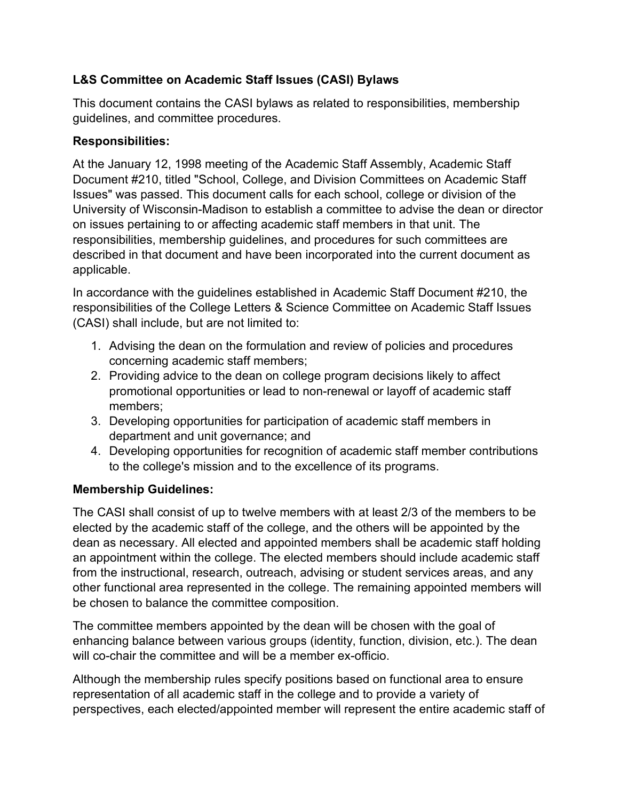## **L&S Committee on Academic Staff Issues (CASI) Bylaws**

This document contains the CASI bylaws as related to responsibilities, membership guidelines, and committee procedures.

## **Responsibilities:**

At the January 12, 1998 meeting of the Academic Staff Assembly, Academic Staff Document #210, titled "School, College, and Division Committees on Academic Staff Issues" was passed. This document calls for each school, college or division of the University of Wisconsin-Madison to establish a committee to advise the dean or director on issues pertaining to or affecting academic staff members in that unit. The responsibilities, membership guidelines, and procedures for such committees are described in that document and have been incorporated into the current document as applicable.

In accordance with the guidelines established in Academic Staff Document #210, the responsibilities of the College Letters & Science Committee on Academic Staff Issues (CASI) shall include, but are not limited to:

- 1. Advising the dean on the formulation and review of policies and procedures concerning academic staff members;
- 2. Providing advice to the dean on college program decisions likely to affect promotional opportunities or lead to non-renewal or layoff of academic staff members;
- 3. Developing opportunities for participation of academic staff members in department and unit governance; and
- 4. Developing opportunities for recognition of academic staff member contributions to the college's mission and to the excellence of its programs.

## **Membership Guidelines:**

The CASI shall consist of up to twelve members with at least 2/3 of the members to be elected by the academic staff of the college, and the others will be appointed by the dean as necessary. All elected and appointed members shall be academic staff holding an appointment within the college. The elected members should include academic staff from the instructional, research, outreach, advising or student services areas, and any other functional area represented in the college. The remaining appointed members will be chosen to balance the committee composition.

The committee members appointed by the dean will be chosen with the goal of enhancing balance between various groups (identity, function, division, etc.). The dean will co-chair the committee and will be a member ex-officio.

Although the membership rules specify positions based on functional area to ensure representation of all academic staff in the college and to provide a variety of perspectives, each elected/appointed member will represent the entire academic staff of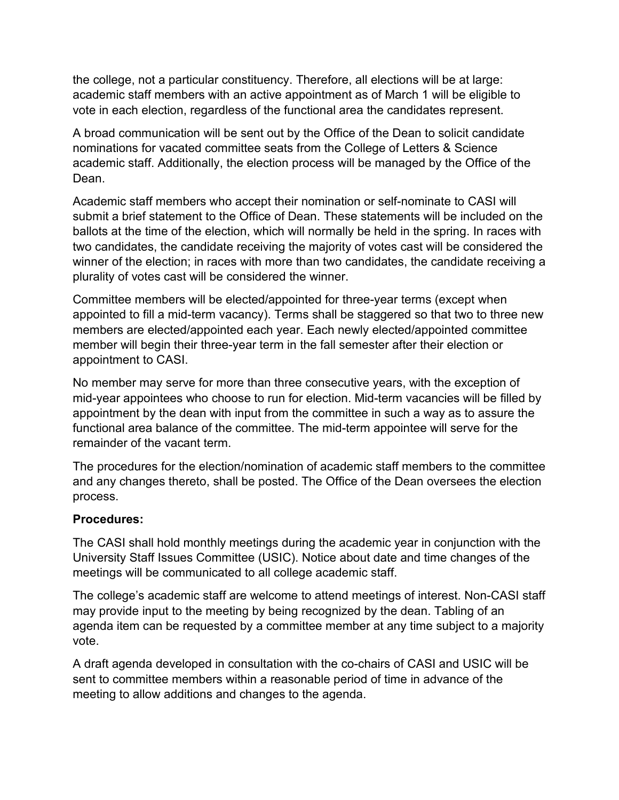the college, not a particular constituency. Therefore, all elections will be at large: academic staff members with an active appointment as of March 1 will be eligible to vote in each election, regardless of the functional area the candidates represent.

A broad communication will be sent out by the Office of the Dean to solicit candidate nominations for vacated committee seats from the College of Letters & Science academic staff. Additionally, the election process will be managed by the Office of the Dean.

Academic staff members who accept their nomination or self-nominate to CASI will submit a brief statement to the Office of Dean. These statements will be included on the ballots at the time of the election, which will normally be held in the spring. In races with two candidates, the candidate receiving the majority of votes cast will be considered the winner of the election; in races with more than two candidates, the candidate receiving a plurality of votes cast will be considered the winner.

Committee members will be elected/appointed for three-year terms (except when appointed to fill a mid-term vacancy). Terms shall be staggered so that two to three new members are elected/appointed each year. Each newly elected/appointed committee member will begin their three-year term in the fall semester after their election or appointment to CASI.

No member may serve for more than three consecutive years, with the exception of mid-year appointees who choose to run for election. Mid-term vacancies will be filled by appointment by the dean with input from the committee in such a way as to assure the functional area balance of the committee. The mid-term appointee will serve for the remainder of the vacant term.

The procedures for the election/nomination of academic staff members to the committee and any changes thereto, shall be posted. The Office of the Dean oversees the election process.

## **Procedures:**

The CASI shall hold monthly meetings during the academic year in conjunction with the University Staff Issues Committee (USIC). Notice about date and time changes of the meetings will be communicated to all college academic staff.

The college's academic staff are welcome to attend meetings of interest. Non-CASI staff may provide input to the meeting by being recognized by the dean. Tabling of an agenda item can be requested by a committee member at any time subject to a majority vote.

A draft agenda developed in consultation with the co-chairs of CASI and USIC will be sent to committee members within a reasonable period of time in advance of the meeting to allow additions and changes to the agenda.